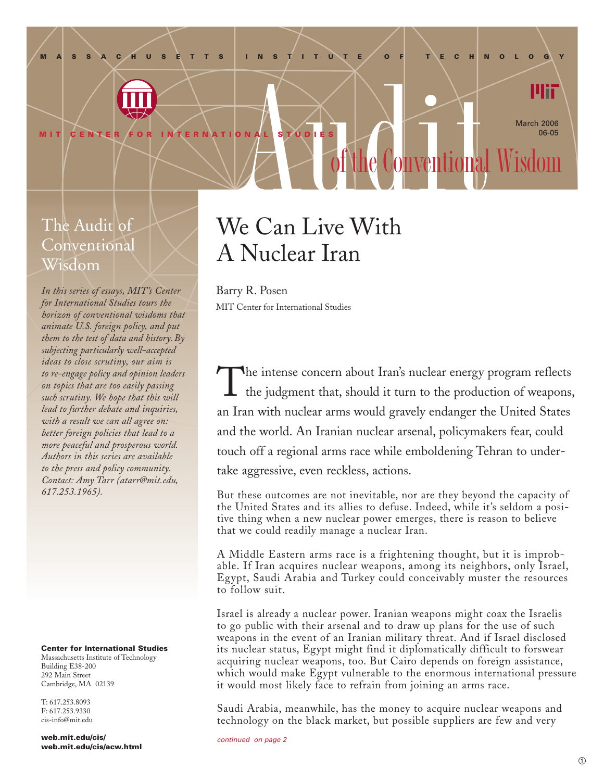

## The Audit of Conventional Wisdom

*In this series of essays, MIT's Center for International Studies tours the horizon of conventional wisdoms that animate U.S. foreign policy, and put them to the test of data and history. By subjecting particularly well-accepted ideas to close scrutiny, our aim is to re-engage policy and opinion leaders on topics that are too easily passing such scrutiny. We hope that this will lead to further debate and inquiries, with a result we can all agree on: better foreign policies that lead to a more peaceful and prosperous world. Authors in this series are available to the press and policy community. Contact: Amy Tarr (atarr@mit.edu, 617.253.1965).*

#### Center for International Studies Massachusetts Institute of Technology

Building E38-200 292 Main Street Cambridge, MA 02139

T: 617.253.8093 F: 617.253.9330 cis-info@mit.edu

web.mit.edu/cis/ web.mit.edu/cis/acw.html

# We Can Live With A Nuclear Iran

Barry R. Posen MIT Center for International Studies

The intense concern about Iran's nuclear energy program reflects the judgment that, should it turn to the production of weapons, an Iran with nuclear arms would gravely endanger the United States and the world. An Iranian nuclear arsenal, policymakers fear, could touch off a regional arms race while emboldening Tehran to undertake aggressive, even reckless, actions.

But these outcomes are not inevitable, nor are they beyond the capacity of the United States and its allies to defuse. Indeed, while it's seldom a positive thing when a new nuclear power emerges, there is reason to believe that we could readily manage a nuclear Iran.

A Middle Eastern arms race is a frightening thought, but it is improbable. If Iran acquires nuclear weapons, among its neighbors, only Israel, Egypt, Saudi Arabia and Turkey could conceivably muster the resources to follow suit.

Israel is already a nuclear power. Iranian weapons might coax the Israelis to go public with their arsenal and to draw up plans for the use of such weapons in the event of an Iranian military threat. And if Israel disclosed its nuclear status, Egypt might find it diplomatically difficult to forswear acquiring nuclear weapons, too. But Cairo depends on foreign assistance, which would make Egypt vulnerable to the enormous international pressure it would most likely face to refrain from joining an arms race.

Saudi Arabia, meanwhile, has the money to acquire nuclear weapons and technology on the black market, but possible suppliers are few and very

continued on page 2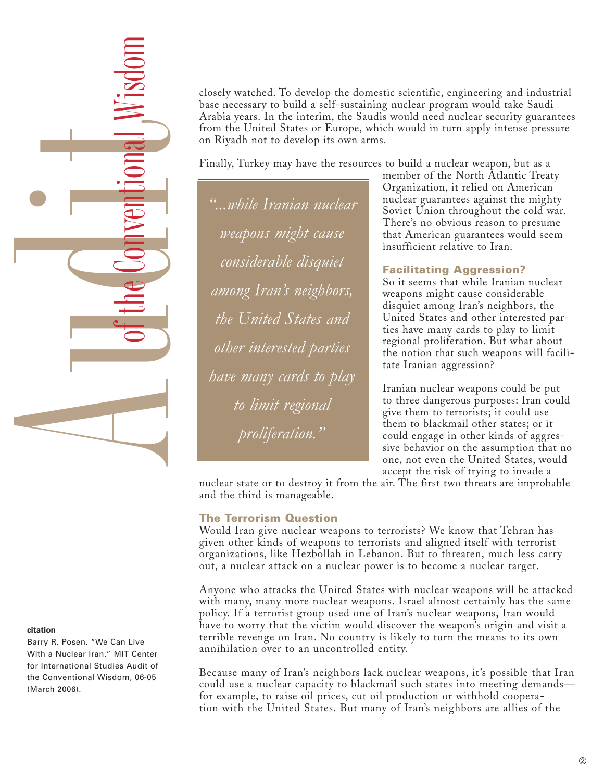

closely watched. To develop the domestic scientific, engineering and industrial base necessary to build a self-sustaining nuclear program would take Saudi Arabia years. In the interim, the Saudis would need nuclear security guarantees from the United States or Europe, which would in turn apply intense pressure on Riyadh not to develop its own arms.

Finally, Turkey may have the resources to build a nuclear weapon, but as a

*"...while Iranian nuclear weapons might cause considerable disquiet among Iran's neighbors, the United States and other interested parties have many cards to play to limit regional proliferation."*

member of the North Atlantic Treaty Organization, it relied on American nuclear guarantees against the mighty Soviet Union throughout the cold war. There's no obvious reason to presume that American guarantees would seem insufficient relative to Iran.

### Facilitating Aggression?

So it seems that while Iranian nuclear weapons might cause considerable disquiet among Iran's neighbors, the United States and other interested parties have many cards to play to limit regional proliferation. But what about the notion that such weapons will facilitate Iranian aggression?

Iranian nuclear weapons could be put to three dangerous purposes: Iran could give them to terrorists; it could use them to blackmail other states; or it could engage in other kinds of aggressive behavior on the assumption that no one, not even the United States, would accept the risk of trying to invade a

nuclear state or to destroy it from the air. The first two threats are improbable and the third is manageable.

### The Terrorism Question

Would Iran give nuclear weapons to terrorists? We know that Tehran has given other kinds of weapons to terrorists and aligned itself with terrorist organizations, like Hezbollah in Lebanon. But to threaten, much less carry out, a nuclear attack on a nuclear power is to become a nuclear target.

Anyone who attacks the United States with nuclear weapons will be attacked with many, many more nuclear weapons. Israel almost certainly has the same policy. If a terrorist group used one of Iran's nuclear weapons, Iran would have to worry that the victim would discover the weapon's origin and visit a terrible revenge on Iran. No country is likely to turn the means to its own annihilation over to an uncontrolled entity.

Because many of Iran's neighbors lack nuclear weapons, it's possible that Iran could use a nuclear capacity to blackmail such states into meeting demands for example, to raise oil prices, cut oil production or withhold cooperation with the United States. But many of Iran's neighbors are allies of the

#### **citation**

Barry R. Posen. "We Can Live With a Nuclear Iran." MIT Center for International Studies Audit of the Conventional Wisdom, 06-05 (March 2006).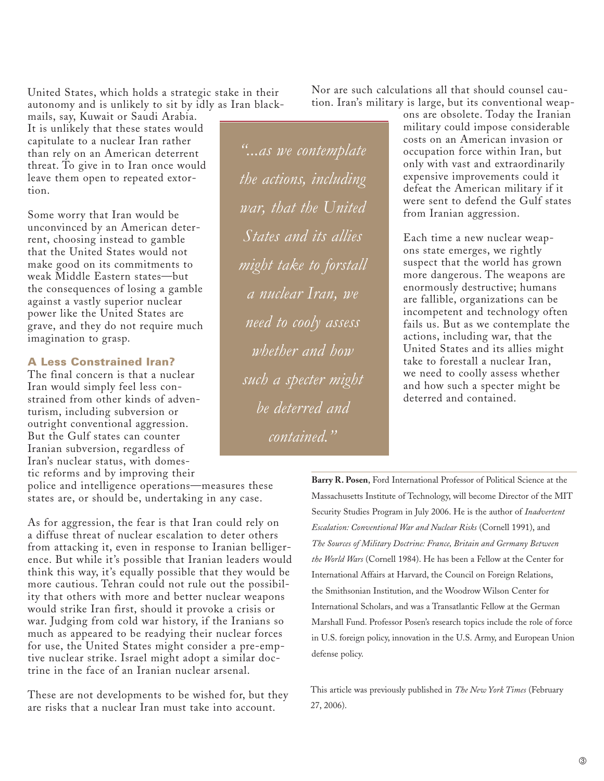United States, which holds a strategic stake in their autonomy and is unlikely to sit by idly as Iran black-

mails, say, Kuwait or Saudi Arabia. It is unlikely that these states would capitulate to a nuclear Iran rather than rely on an American deterrent threat. To give in to Iran once would leave them open to repeated extortion.

Some worry that Iran would be unconvinced by an American deterrent, choosing instead to gamble that the United States would not make good on its commitments to weak Middle Eastern states—but the consequences of losing a gamble against a vastly superior nuclear power like the United States are grave, and they do not require much imagination to grasp.

### A Less Constrained Iran?

The final concern is that a nuclear Iran would simply feel less constrained from other kinds of adventurism, including subversion or outright conventional aggression. But the Gulf states can counter Iranian subversion, regardless of Iran's nuclear status, with domestic reforms and by improving their

police and intelligence operations—measures these states are, or should be, undertaking in any case.

As for aggression, the fear is that Iran could rely on a diffuse threat of nuclear escalation to deter others from attacking it, even in response to Iranian belligerence. But while it's possible that Iranian leaders would think this way, it's equally possible that they would be more cautious. Tehran could not rule out the possibility that others with more and better nuclear weapons would strike Iran first, should it provoke a crisis or war. Judging from cold war history, if the Iranians so much as appeared to be readying their nuclear forces for use, the United States might consider a pre-emptive nuclear strike. Israel might adopt a similar doctrine in the face of an Iranian nuclear arsenal.

These are not developments to be wished for, but they are risks that a nuclear Iran must take into account.

*"...as we contemplate the actions, including war, that the United States and its allies might take to forstall a nuclear Iran, we need to cooly assess whether and how such a specter might be deterred and contained."*

Nor are such calculations all that should counsel caution. Iran's military is large, but its conventional weap-

> ons are obsolete. Today the Iranian military could impose considerable costs on an American invasion or occupation force within Iran, but only with vast and extraordinarily expensive improvements could it defeat the American military if it were sent to defend the Gulf states from Iranian aggression.

Each time a new nuclear weapons state emerges, we rightly suspect that the world has grown more dangerous. The weapons are enormously destructive; humans are fallible, organizations can be incompetent and technology often fails us. But as we contemplate the actions, including war, that the United States and its allies might take to forestall a nuclear Iran, we need to coolly assess whether and how such a specter might be deterred and contained.

**Barry R. Posen**, Ford International Professor of Political Science at the Massachusetts Institute of Technology, will become Director of the MIT Security Studies Program in July 2006. He is the author of *Inadvertent Escalation: Conventional War and Nuclear Risks* (Cornell 1991), and *The Sources of Military Doctrine: France, Britain and Germany Between the World Wars* (Cornell 1984). He has been a Fellow at the Center for International Affairs at Harvard, the Council on Foreign Relations, the Smithsonian Institution, and the Woodrow Wilson Center for International Scholars, and was a Transatlantic Fellow at the German Marshall Fund. Professor Posen's research topics include the role of force in U.S. foreign policy, innovation in the U.S. Army, and European Union defense policy.

This article was previously published in *The New York Times* (February 27, 2006).